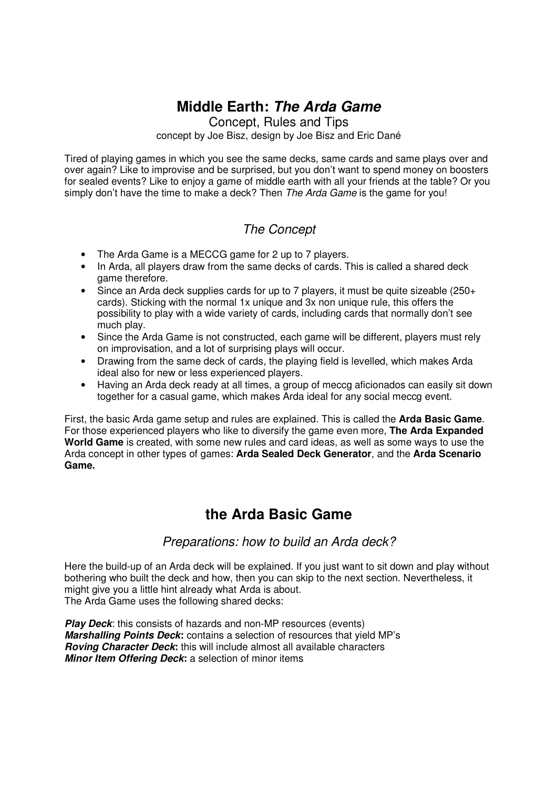# **Middle Earth: The Arda Game**

Concept, Rules and Tips concept by Joe Bisz, design by Joe Bisz and Eric Dané

Tired of playing games in which you see the same decks, same cards and same plays over and over again? Like to improvise and be surprised, but you don't want to spend money on boosters for sealed events? Like to enjoy a game of middle earth with all your friends at the table? Or you simply don't have the time to make a deck? Then The Arda Game is the game for you!

# The Concept

- The Arda Game is a MECCG game for 2 up to 7 players.
- In Arda, all players draw from the same decks of cards. This is called a shared deck game therefore.
- Since an Arda deck supplies cards for up to 7 players, it must be quite sizeable (250+ cards). Sticking with the normal 1x unique and 3x non unique rule, this offers the possibility to play with a wide variety of cards, including cards that normally don't see much play.
- Since the Arda Game is not constructed, each game will be different, players must rely on improvisation, and a lot of surprising plays will occur.
- Drawing from the same deck of cards, the playing field is levelled, which makes Arda ideal also for new or less experienced players.
- Having an Arda deck ready at all times, a group of meccg aficionados can easily sit down together for a casual game, which makes Arda ideal for any social meccg event.

First, the basic Arda game setup and rules are explained. This is called the **Arda Basic Game**. For those experienced players who like to diversify the game even more, **The Arda Expanded World Game** is created, with some new rules and card ideas, as well as some ways to use the Arda concept in other types of games: **Arda Sealed Deck Generator**, and the **Arda Scenario Game.** 

# **the Arda Basic Game**

## Preparations: how to build an Arda deck?

Here the build-up of an Arda deck will be explained. If you just want to sit down and play without bothering who built the deck and how, then you can skip to the next section. Nevertheless, it might give you a little hint already what Arda is about. The Arda Game uses the following shared decks:

**Play Deck:** this consists of hazards and non-MP resources (events) **Marshalling Points Deck:** contains a selection of resources that yield MP's **Roving Character Deck:** this will include almost all available characters **Minor Item Offering Deck:** a selection of minor items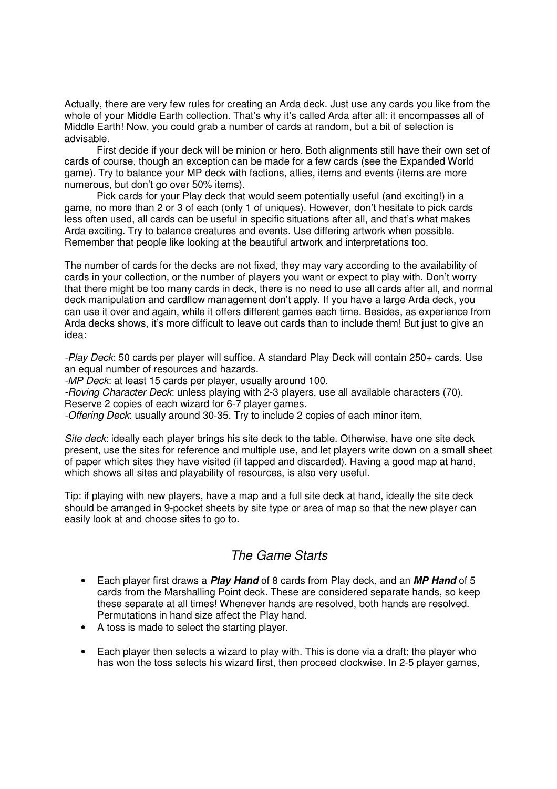Actually, there are very few rules for creating an Arda deck. Just use any cards you like from the whole of your Middle Earth collection. That's why it's called Arda after all: it encompasses all of Middle Earth! Now, you could grab a number of cards at random, but a bit of selection is advisable.

First decide if your deck will be minion or hero. Both alignments still have their own set of cards of course, though an exception can be made for a few cards (see the Expanded World game). Try to balance your MP deck with factions, allies, items and events (items are more numerous, but don't go over 50% items).

Pick cards for your Play deck that would seem potentially useful (and exciting!) in a game, no more than 2 or 3 of each (only 1 of uniques). However, don't hesitate to pick cards less often used, all cards can be useful in specific situations after all, and that's what makes Arda exciting. Try to balance creatures and events. Use differing artwork when possible. Remember that people like looking at the beautiful artwork and interpretations too.

The number of cards for the decks are not fixed, they may vary according to the availability of cards in your collection, or the number of players you want or expect to play with. Don't worry that there might be too many cards in deck, there is no need to use all cards after all, and normal deck manipulation and cardflow management don't apply. If you have a large Arda deck, you can use it over and again, while it offers different games each time. Besides, as experience from Arda decks shows, it's more difficult to leave out cards than to include them! But just to give an idea:

-Play Deck: 50 cards per player will suffice. A standard Play Deck will contain 250+ cards. Use an equal number of resources and hazards.

-MP Deck: at least 15 cards per player, usually around 100.

-Roving Character Deck: unless playing with 2-3 players, use all available characters (70). Reserve 2 copies of each wizard for 6-7 player games.

-Offering Deck: usually around 30-35. Try to include 2 copies of each minor item.

Site deck: ideally each player brings his site deck to the table. Otherwise, have one site deck present, use the sites for reference and multiple use, and let players write down on a small sheet of paper which sites they have visited (if tapped and discarded). Having a good map at hand, which shows all sites and playability of resources, is also very useful.

Tip: if playing with new players, have a map and a full site deck at hand, ideally the site deck should be arranged in 9-pocket sheets by site type or area of map so that the new player can easily look at and choose sites to go to.

## The Game Starts

- Each player first draws a **Play Hand** of 8 cards from Play deck, and an **MP Hand** of 5 cards from the Marshalling Point deck. These are considered separate hands, so keep these separate at all times! Whenever hands are resolved, both hands are resolved. Permutations in hand size affect the Play hand.
- A toss is made to select the starting player.
- Each player then selects a wizard to play with. This is done via a draft; the player who has won the toss selects his wizard first, then proceed clockwise. In 2-5 player games,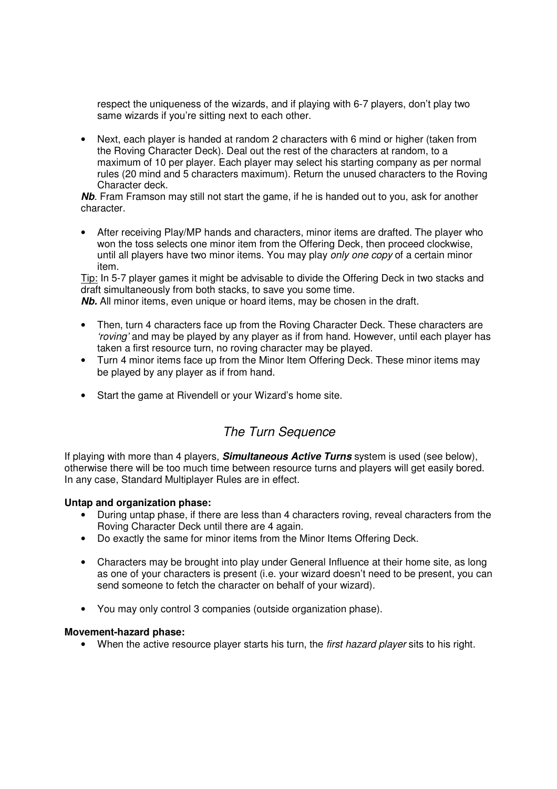respect the uniqueness of the wizards, and if playing with 6-7 players, don't play two same wizards if you're sitting next to each other.

• Next, each player is handed at random 2 characters with 6 mind or higher (taken from the Roving Character Deck). Deal out the rest of the characters at random, to a maximum of 10 per player. Each player may select his starting company as per normal rules (20 mind and 5 characters maximum). Return the unused characters to the Roving Character deck.

**Nb**. Fram Framson may still not start the game, if he is handed out to you, ask for another character.

• After receiving Play/MP hands and characters, minor items are drafted. The player who won the toss selects one minor item from the Offering Deck, then proceed clockwise, until all players have two minor items. You may play only one copy of a certain minor item.

Tip: In 5-7 player games it might be advisable to divide the Offering Deck in two stacks and draft simultaneously from both stacks, to save you some time.

**Nb.** All minor items, even unique or hoard items, may be chosen in the draft.

- Then, turn 4 characters face up from the Roving Character Deck. These characters are 'roving' and may be played by any player as if from hand. However, until each player has taken a first resource turn, no roving character may be played.
- Turn 4 minor items face up from the Minor Item Offering Deck. These minor items may be played by any player as if from hand.
- Start the game at Rivendell or your Wizard's home site.

# The Turn Sequence

If playing with more than 4 players, **Simultaneous Active Turns** system is used (see below), otherwise there will be too much time between resource turns and players will get easily bored. In any case, Standard Multiplayer Rules are in effect.

### **Untap and organization phase:**

- During untap phase, if there are less than 4 characters roving, reveal characters from the Roving Character Deck until there are 4 again.
- Do exactly the same for minor items from the Minor Items Offering Deck.
- Characters may be brought into play under General Influence at their home site, as long as one of your characters is present (i.e. your wizard doesn't need to be present, you can send someone to fetch the character on behalf of your wizard).
- You may only control 3 companies (outside organization phase).

#### **Movement-hazard phase:**

• When the active resource player starts his turn, the first hazard player sits to his right.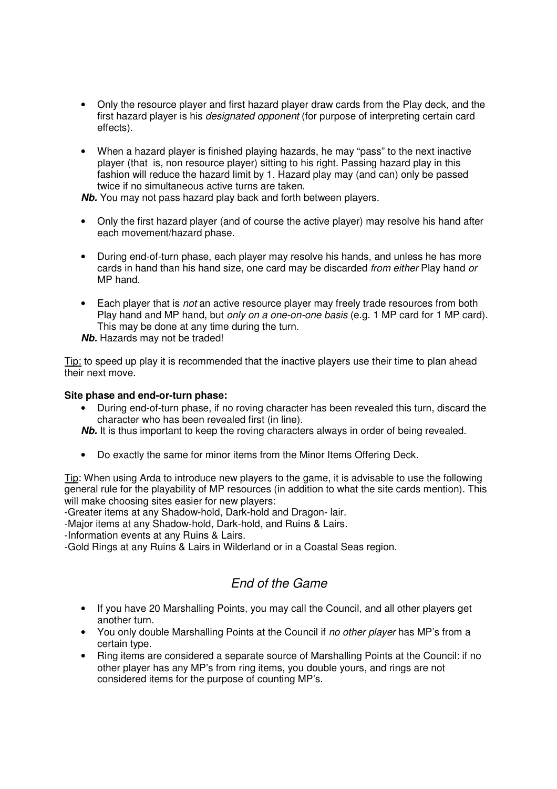- Only the resource player and first hazard player draw cards from the Play deck, and the first hazard player is his *designated opponent* (for purpose of interpreting certain card effects).
- When a hazard player is finished playing hazards, he may "pass" to the next inactive player (that is, non resource player) sitting to his right. Passing hazard play in this fashion will reduce the hazard limit by 1. Hazard play may (and can) only be passed twice if no simultaneous active turns are taken.

**Nb.** You may not pass hazard play back and forth between players.

- Only the first hazard player (and of course the active player) may resolve his hand after each movement/hazard phase.
- During end-of-turn phase, each player may resolve his hands, and unless he has more cards in hand than his hand size, one card may be discarded from either Play hand or MP hand.
- Each player that is not an active resource player may freely trade resources from both Play hand and MP hand, but *only on a one-on-one basis* (e.g. 1 MP card for 1 MP card). This may be done at any time during the turn.

**Nb.** Hazards may not be traded!

Tip: to speed up play it is recommended that the inactive players use their time to plan ahead their next move.

#### **Site phase and end-or-turn phase:**

• During end-of-turn phase, if no roving character has been revealed this turn, discard the character who has been revealed first (in line).

**Nb.** It is thus important to keep the roving characters always in order of being revealed.

• Do exactly the same for minor items from the Minor Items Offering Deck.

Tip: When using Arda to introduce new players to the game, it is advisable to use the following general rule for the playability of MP resources (in addition to what the site cards mention). This will make choosing sites easier for new players:

-Greater items at any Shadow-hold, Dark-hold and Dragon- lair.

-Major items at any Shadow-hold, Dark-hold, and Ruins & Lairs.

-Information events at any Ruins & Lairs.

-Gold Rings at any Ruins & Lairs in Wilderland or in a Coastal Seas region.

## End of the Game

- If you have 20 Marshalling Points, you may call the Council, and all other players get another turn.
- You only double Marshalling Points at the Council if no other player has MP's from a certain type.
- Ring items are considered a separate source of Marshalling Points at the Council: if no other player has any MP's from ring items, you double yours, and rings are not considered items for the purpose of counting MP's.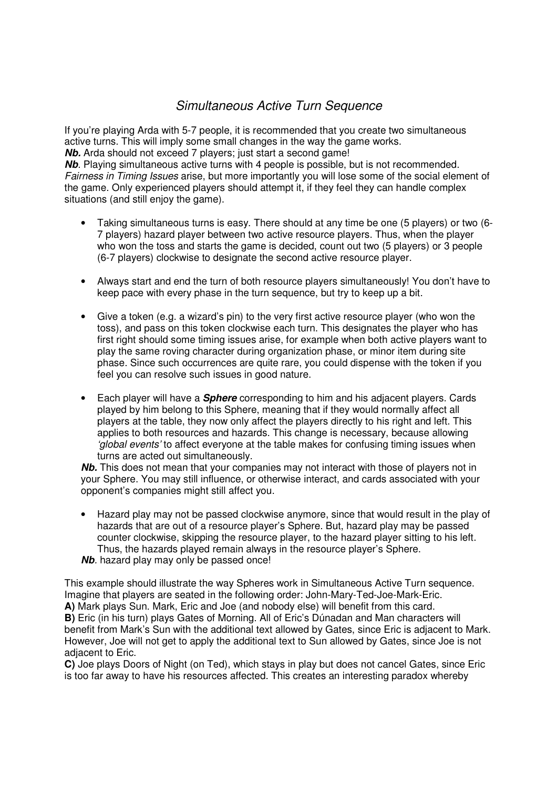# Simultaneous Active Turn Sequence

If you're playing Arda with 5-7 people, it is recommended that you create two simultaneous active turns. This will imply some small changes in the way the game works. **Nb.** Arda should not exceed 7 players; just start a second game!

**Nb**. Playing simultaneous active turns with 4 people is possible, but is not recommended. Fairness in Timing Issues arise, but more importantly you will lose some of the social element of the game. Only experienced players should attempt it, if they feel they can handle complex situations (and still enjoy the game).

- Taking simultaneous turns is easy. There should at any time be one (5 players) or two (6- 7 players) hazard player between two active resource players. Thus, when the player who won the toss and starts the game is decided, count out two (5 players) or 3 people (6-7 players) clockwise to designate the second active resource player.
- Always start and end the turn of both resource players simultaneously! You don't have to keep pace with every phase in the turn sequence, but try to keep up a bit.
- Give a token (e.g. a wizard's pin) to the very first active resource player (who won the toss), and pass on this token clockwise each turn. This designates the player who has first right should some timing issues arise, for example when both active players want to play the same roving character during organization phase, or minor item during site phase. Since such occurrences are quite rare, you could dispense with the token if you feel you can resolve such issues in good nature.
- Each player will have a **Sphere** corresponding to him and his adjacent players. Cards played by him belong to this Sphere, meaning that if they would normally affect all players at the table, they now only affect the players directly to his right and left. This applies to both resources and hazards. This change is necessary, because allowing 'global events' to affect everyone at the table makes for confusing timing issues when turns are acted out simultaneously.

**Nb.** This does not mean that your companies may not interact with those of players not in your Sphere. You may still influence, or otherwise interact, and cards associated with your opponent's companies might still affect you.

• Hazard play may not be passed clockwise anymore, since that would result in the play of hazards that are out of a resource player's Sphere. But, hazard play may be passed counter clockwise, skipping the resource player, to the hazard player sitting to his left. Thus, the hazards played remain always in the resource player's Sphere. **Nb**. hazard play may only be passed once!

This example should illustrate the way Spheres work in Simultaneous Active Turn sequence. Imagine that players are seated in the following order: John-Mary-Ted-Joe-Mark-Eric. **A)** Mark plays Sun. Mark, Eric and Joe (and nobody else) will benefit from this card. **B)** Eric (in his turn) plays Gates of Morning. All of Eric's Dúnadan and Man characters will benefit from Mark's Sun with the additional text allowed by Gates, since Eric is adjacent to Mark. However, Joe will not get to apply the additional text to Sun allowed by Gates, since Joe is not adjacent to Eric.

**C)** Joe plays Doors of Night (on Ted), which stays in play but does not cancel Gates, since Eric is too far away to have his resources affected. This creates an interesting paradox whereby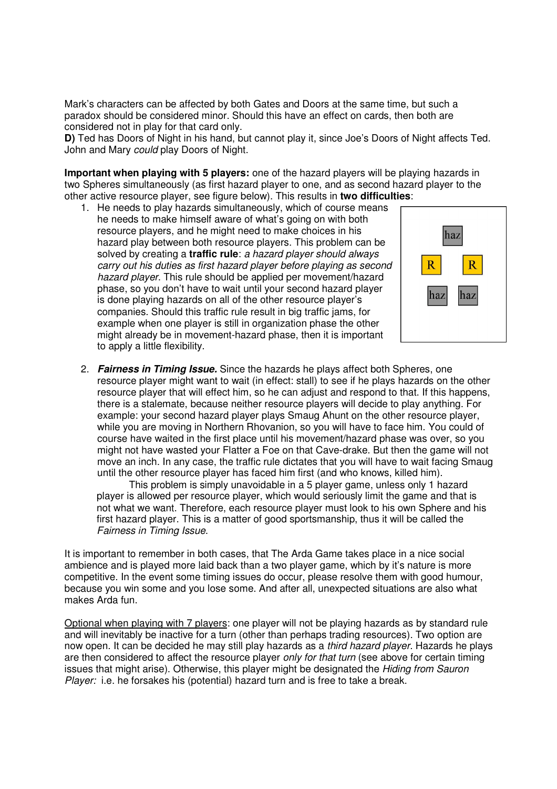Mark's characters can be affected by both Gates and Doors at the same time, but such a paradox should be considered minor. Should this have an effect on cards, then both are considered not in play for that card only.

**D)** Ted has Doors of Night in his hand, but cannot play it, since Joe's Doors of Night affects Ted. John and Mary *could* play Doors of Night.

**Important when playing with 5 players:** one of the hazard players will be playing hazards in two Spheres simultaneously (as first hazard player to one, and as second hazard player to the other active resource player, see figure below). This results in **two difficulties**:

1. He needs to play hazards simultaneously, which of course means he needs to make himself aware of what's going on with both resource players, and he might need to make choices in his hazard play between both resource players. This problem can be solved by creating a **traffic rule**: a hazard player should always carry out his duties as first hazard player before playing as second hazard player. This rule should be applied per movement/hazard phase, so you don't have to wait until your second hazard player is done playing hazards on all of the other resource player's companies. Should this traffic rule result in big traffic jams, for example when one player is still in organization phase the other might already be in movement-hazard phase, then it is important to apply a little flexibility.



2. **Fairness in Timing Issue.** Since the hazards he plays affect both Spheres, one resource player might want to wait (in effect: stall) to see if he plays hazards on the other resource player that will effect him, so he can adjust and respond to that. If this happens, there is a stalemate, because neither resource players will decide to play anything. For example: your second hazard player plays Smaug Ahunt on the other resource player, while you are moving in Northern Rhovanion, so you will have to face him. You could of course have waited in the first place until his movement/hazard phase was over, so you might not have wasted your Flatter a Foe on that Cave-drake. But then the game will not move an inch. In any case, the traffic rule dictates that you will have to wait facing Smaug until the other resource player has faced him first (and who knows, killed him).

This problem is simply unavoidable in a 5 player game, unless only 1 hazard player is allowed per resource player, which would seriously limit the game and that is not what we want. Therefore, each resource player must look to his own Sphere and his first hazard player. This is a matter of good sportsmanship, thus it will be called the Fairness in Timing Issue.

It is important to remember in both cases, that The Arda Game takes place in a nice social ambience and is played more laid back than a two player game, which by it's nature is more competitive. In the event some timing issues do occur, please resolve them with good humour, because you win some and you lose some. And after all, unexpected situations are also what makes Arda fun.

Optional when playing with 7 players: one player will not be playing hazards as by standard rule and will inevitably be inactive for a turn (other than perhaps trading resources). Two option are now open. It can be decided he may still play hazards as a third hazard player. Hazards he plays are then considered to affect the resource player *only for that turn* (see above for certain timing issues that might arise). Otherwise, this player might be designated the Hiding from Sauron Player: i.e. he forsakes his (potential) hazard turn and is free to take a break.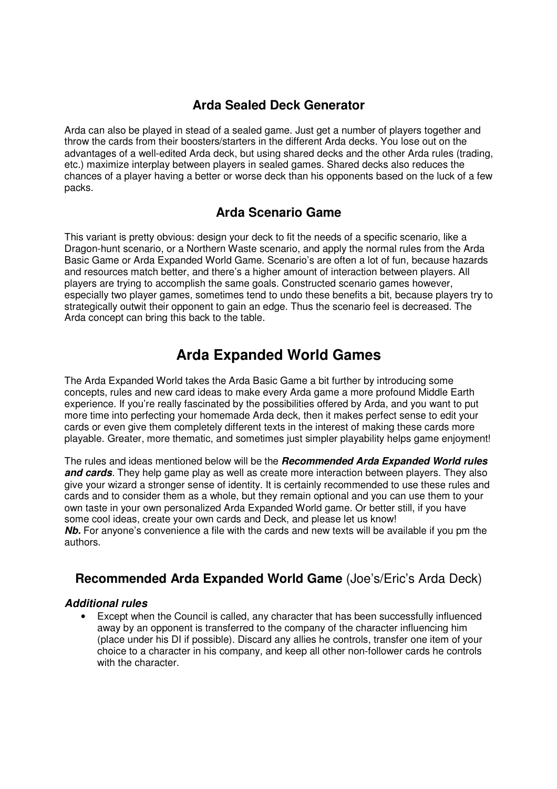# **Arda Sealed Deck Generator**

Arda can also be played in stead of a sealed game. Just get a number of players together and throw the cards from their boosters/starters in the different Arda decks. You lose out on the advantages of a well-edited Arda deck, but using shared decks and the other Arda rules (trading, etc.) maximize interplay between players in sealed games. Shared decks also reduces the chances of a player having a better or worse deck than his opponents based on the luck of a few packs.

# **Arda Scenario Game**

This variant is pretty obvious: design your deck to fit the needs of a specific scenario, like a Dragon-hunt scenario, or a Northern Waste scenario, and apply the normal rules from the Arda Basic Game or Arda Expanded World Game. Scenario's are often a lot of fun, because hazards and resources match better, and there's a higher amount of interaction between players. All players are trying to accomplish the same goals. Constructed scenario games however, especially two player games, sometimes tend to undo these benefits a bit, because players try to strategically outwit their opponent to gain an edge. Thus the scenario feel is decreased. The Arda concept can bring this back to the table.

# **Arda Expanded World Games**

The Arda Expanded World takes the Arda Basic Game a bit further by introducing some concepts, rules and new card ideas to make every Arda game a more profound Middle Earth experience. If you're really fascinated by the possibilities offered by Arda, and you want to put more time into perfecting your homemade Arda deck, then it makes perfect sense to edit your cards or even give them completely different texts in the interest of making these cards more playable. Greater, more thematic, and sometimes just simpler playability helps game enjoyment!

The rules and ideas mentioned below will be the **Recommended Arda Expanded World rules and cards**. They help game play as well as create more interaction between players. They also give your wizard a stronger sense of identity. It is certainly recommended to use these rules and cards and to consider them as a whole, but they remain optional and you can use them to your own taste in your own personalized Arda Expanded World game. Or better still, if you have some cool ideas, create your own cards and Deck, and please let us know! **Nb.** For anyone's convenience a file with the cards and new texts will be available if you pm the authors.

# **Recommended Arda Expanded World Game** (Joe's/Eric's Arda Deck)

### **Additional rules**

• Except when the Council is called, any character that has been successfully influenced away by an opponent is transferred to the company of the character influencing him (place under his DI if possible). Discard any allies he controls, transfer one item of your choice to a character in his company, and keep all other non-follower cards he controls with the character.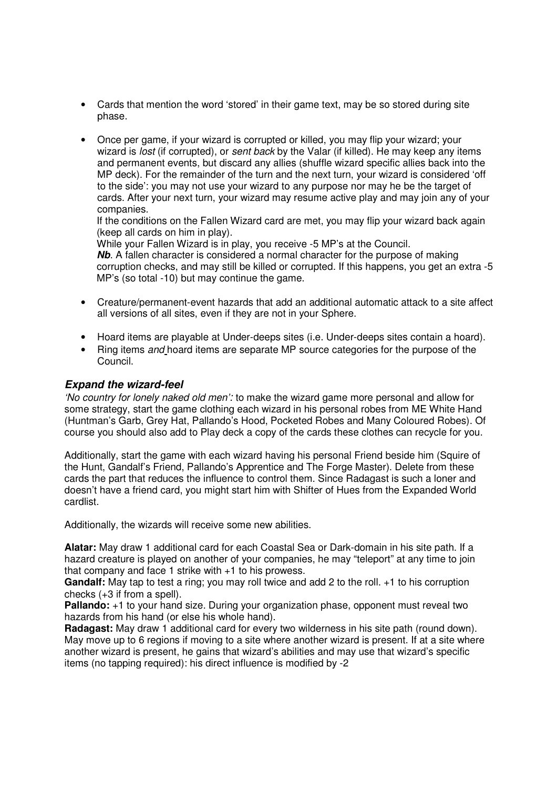- Cards that mention the word 'stored' in their game text, may be so stored during site phase.
- Once per game, if your wizard is corrupted or killed, you may flip your wizard; your wizard is *lost* (if corrupted), or *sent back* by the Valar (if killed). He may keep any items and permanent events, but discard any allies (shuffle wizard specific allies back into the MP deck). For the remainder of the turn and the next turn, your wizard is considered 'off to the side': you may not use your wizard to any purpose nor may he be the target of cards. After your next turn, your wizard may resume active play and may join any of your companies.

If the conditions on the Fallen Wizard card are met, you may flip your wizard back again (keep all cards on him in play).

While your Fallen Wizard is in play, you receive -5 MP's at the Council.

**Nb**. A fallen character is considered a normal character for the purpose of making corruption checks, and may still be killed or corrupted. If this happens, you get an extra -5 MP's (so total -10) but may continue the game.

- Creature/permanent-event hazards that add an additional automatic attack to a site affect all versions of all sites, even if they are not in your Sphere.
- Hoard items are playable at Under-deeps sites (i.e. Under-deeps sites contain a hoard).
- Ring items and hoard items are separate MP source categories for the purpose of the Council.

### **Expand the wizard-feel**

'No country for lonely naked old men': to make the wizard game more personal and allow for some strategy, start the game clothing each wizard in his personal robes from ME White Hand (Huntman's Garb, Grey Hat, Pallando's Hood, Pocketed Robes and Many Coloured Robes). Of course you should also add to Play deck a copy of the cards these clothes can recycle for you.

Additionally, start the game with each wizard having his personal Friend beside him (Squire of the Hunt, Gandalf's Friend, Pallando's Apprentice and The Forge Master). Delete from these cards the part that reduces the influence to control them. Since Radagast is such a loner and doesn't have a friend card, you might start him with Shifter of Hues from the Expanded World cardlist.

Additionally, the wizards will receive some new abilities.

**Alatar:** May draw 1 additional card for each Coastal Sea or Dark-domain in his site path. If a hazard creature is played on another of your companies, he may "teleport" at any time to join that company and face 1 strike with +1 to his prowess.

**Gandalf:** May tap to test a ring; you may roll twice and add 2 to the roll. +1 to his corruption checks (+3 if from a spell).

**Pallando:** +1 to your hand size. During your organization phase, opponent must reveal two hazards from his hand (or else his whole hand).

**Radagast:** May draw 1 additional card for every two wilderness in his site path (round down). May move up to 6 regions if moving to a site where another wizard is present. If at a site where another wizard is present, he gains that wizard's abilities and may use that wizard's specific items (no tapping required): his direct influence is modified by -2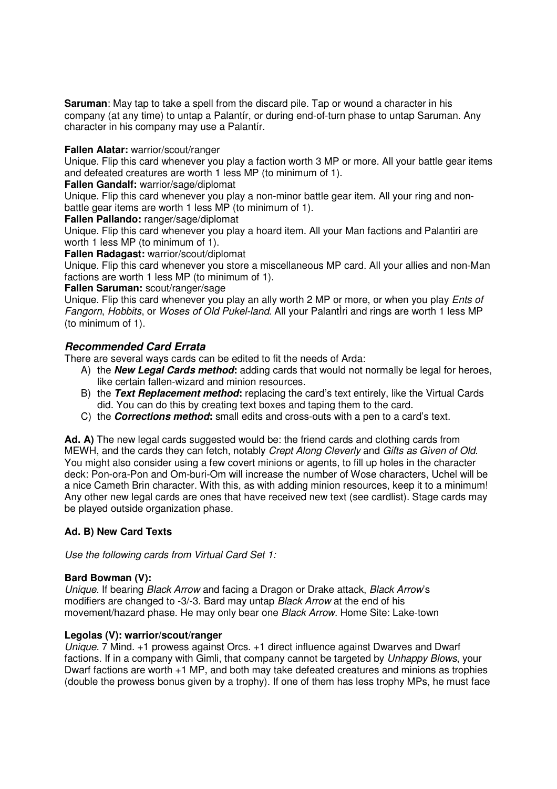**Saruman**: May tap to take a spell from the discard pile. Tap or wound a character in his company (at any time) to untap a Palantír, or during end-of-turn phase to untap Saruman. Any character in his company may use a Palantír.

#### **Fallen Alatar:** warrior/scout/ranger

Unique. Flip this card whenever you play a faction worth 3 MP or more. All your battle gear items and defeated creatures are worth 1 less MP (to minimum of 1).

#### **Fallen Gandalf:** warrior/sage/diplomat

Unique. Flip this card whenever you play a non-minor battle gear item. All your ring and nonbattle gear items are worth 1 less MP (to minimum of 1).

#### **Fallen Pallando:** ranger/sage/diplomat

Unique. Flip this card whenever you play a hoard item. All your Man factions and Palantiri are worth 1 less MP (to minimum of 1).

**Fallen Radagast:** warrior/scout/diplomat

Unique. Flip this card whenever you store a miscellaneous MP card. All your allies and non-Man factions are worth 1 less MP (to minimum of 1).

#### **Fallen Saruman:** scout/ranger/sage

Unique. Flip this card whenever you play an ally worth 2 MP or more, or when you play Ents of Fangorn, Hobbits, or Woses of Old Pukel-land. All your PalantÌri and rings are worth 1 less MP (to minimum of 1).

### **Recommended Card Errata**

There are several ways cards can be edited to fit the needs of Arda:

- A) the **New Legal Cards method:** adding cards that would not normally be legal for heroes, like certain fallen-wizard and minion resources.
- B) the **Text Replacement method:** replacing the card's text entirely, like the Virtual Cards did. You can do this by creating text boxes and taping them to the card.
- C) the **Corrections method:** small edits and cross-outs with a pen to a card's text.

Ad. A) The new legal cards suggested would be: the friend cards and clothing cards from MEWH, and the cards they can fetch, notably Crept Along Cleverly and Gifts as Given of Old. You might also consider using a few covert minions or agents, to fill up holes in the character deck: Pon-ora-Pon and Om-buri-Om will increase the number of Wose characters, Uchel will be a nice Cameth Brin character. With this, as with adding minion resources, keep it to a minimum! Any other new legal cards are ones that have received new text (see cardlist). Stage cards may be played outside organization phase.

### **Ad. B) New Card Texts**

Use the following cards from Virtual Card Set 1:

#### **Bard Bowman (V):**

Unique. If bearing Black Arrow and facing a Dragon or Drake attack, Black Arrow's modifiers are changed to -3/-3. Bard may untap *Black Arrow* at the end of his movement/hazard phase. He may only bear one Black Arrow. Home Site: Lake-town

#### **Legolas (V): warrior/scout/ranger**

Unique. 7 Mind. +1 prowess against Orcs. +1 direct influence against Dwarves and Dwarf factions. If in a company with Gimli, that company cannot be targeted by Unhappy Blows, your Dwarf factions are worth +1 MP, and both may take defeated creatures and minions as trophies (double the prowess bonus given by a trophy). If one of them has less trophy MPs, he must face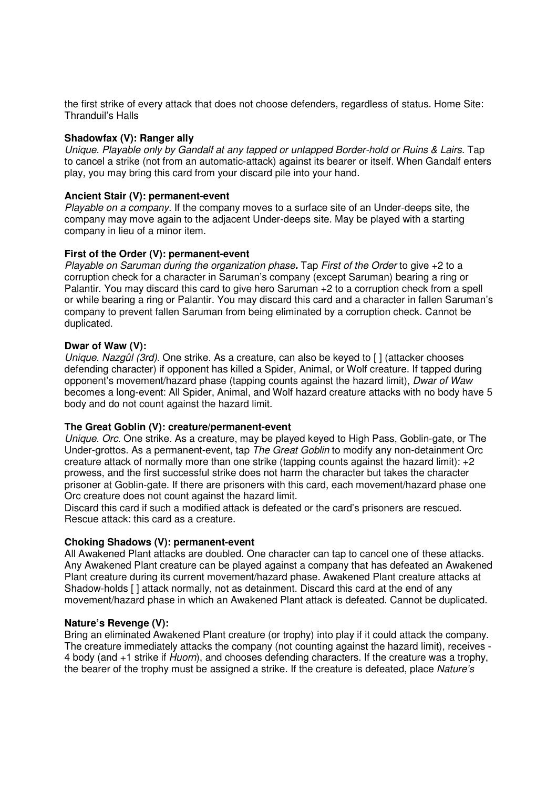the first strike of every attack that does not choose defenders, regardless of status. Home Site: Thranduil's Halls

#### **Shadowfax (V): Ranger ally**

Unique. Playable only by Gandalf at any tapped or untapped Border-hold or Ruins & Lairs. Tap to cancel a strike (not from an automatic-attack) against its bearer or itself. When Gandalf enters play, you may bring this card from your discard pile into your hand.

#### **Ancient Stair (V): permanent-event**

Playable on a company. If the company moves to a surface site of an Under-deeps site, the company may move again to the adjacent Under-deeps site. May be played with a starting company in lieu of a minor item.

#### **First of the Order (V): permanent-event**

Playable on Saruman during the organization phase**.** Tap First of the Order to give +2 to a corruption check for a character in Saruman's company (except Saruman) bearing a ring or Palantir. You may discard this card to give hero Saruman +2 to a corruption check from a spell or while bearing a ring or Palantir. You may discard this card and a character in fallen Saruman's company to prevent fallen Saruman from being eliminated by a corruption check. Cannot be duplicated.

#### **Dwar of Waw (V):**

Unique. Nazgûl (3rd). One strike. As a creature, can also be keyed to [ ] (attacker chooses defending character) if opponent has killed a Spider, Animal, or Wolf creature. If tapped during opponent's movement/hazard phase (tapping counts against the hazard limit), Dwar of Waw becomes a long-event: All Spider, Animal, and Wolf hazard creature attacks with no body have 5 body and do not count against the hazard limit.

#### **The Great Goblin (V): creature/permanent-event**

Unique. Orc. One strike. As a creature, may be played keyed to High Pass, Goblin-gate, or The Under-grottos. As a permanent-event, tap *The Great Goblin* to modify any non-detainment Orc creature attack of normally more than one strike (tapping counts against the hazard limit): +2 prowess, and the first successful strike does not harm the character but takes the character prisoner at Goblin-gate. If there are prisoners with this card, each movement/hazard phase one Orc creature does not count against the hazard limit.

Discard this card if such a modified attack is defeated or the card's prisoners are rescued. Rescue attack: this card as a creature.

### **Choking Shadows (V): permanent-event**

All Awakened Plant attacks are doubled. One character can tap to cancel one of these attacks. Any Awakened Plant creature can be played against a company that has defeated an Awakened Plant creature during its current movement/hazard phase. Awakened Plant creature attacks at Shadow-holds [ ] attack normally, not as detainment. Discard this card at the end of any movement/hazard phase in which an Awakened Plant attack is defeated. Cannot be duplicated.

#### **Nature's Revenge (V):**

Bring an eliminated Awakened Plant creature (or trophy) into play if it could attack the company. The creature immediately attacks the company (not counting against the hazard limit), receives - 4 body (and +1 strike if Huorn), and chooses defending characters. If the creature was a trophy, the bearer of the trophy must be assigned a strike. If the creature is defeated, place Nature's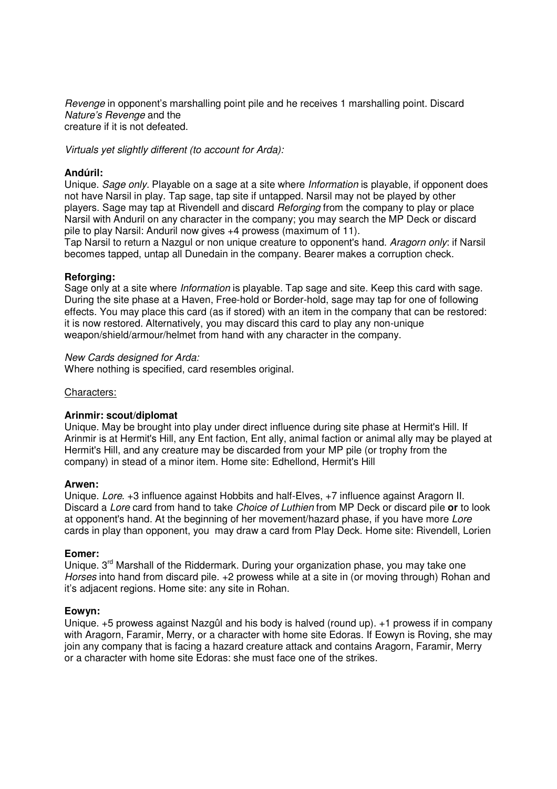Revenge in opponent's marshalling point pile and he receives 1 marshalling point. Discard Nature's Revenge and the creature if it is not defeated.

Virtuals yet slightly different (to account for Arda):

#### **Andúril:**

Unique. Sage only. Playable on a sage at a site where Information is playable, if opponent does not have Narsil in play. Tap sage, tap site if untapped. Narsil may not be played by other players. Sage may tap at Rivendell and discard Reforging from the company to play or place Narsil with Anduril on any character in the company; you may search the MP Deck or discard pile to play Narsil: Anduril now gives +4 prowess (maximum of 11).

Tap Narsil to return a Nazgul or non unique creature to opponent's hand. Aragorn only: if Narsil becomes tapped, untap all Dunedain in the company. Bearer makes a corruption check.

#### **Reforging:**

Sage only at a site where Information is playable. Tap sage and site. Keep this card with sage. During the site phase at a Haven, Free-hold or Border-hold, sage may tap for one of following effects. You may place this card (as if stored) with an item in the company that can be restored: it is now restored. Alternatively, you may discard this card to play any non-unique weapon/shield/armour/helmet from hand with any character in the company.

#### New Cards designed for Arda:

Where nothing is specified, card resembles original.

#### Characters:

### **Arinmir: scout/diplomat**

Unique. May be brought into play under direct influence during site phase at Hermit's Hill. If Arinmir is at Hermit's Hill, any Ent faction, Ent ally, animal faction or animal ally may be played at Hermit's Hill, and any creature may be discarded from your MP pile (or trophy from the company) in stead of a minor item. Home site: Edhellond, Hermit's Hill

#### **Arwen:**

Unique. Lore. +3 influence against Hobbits and half-Elves, +7 influence against Aragorn II. Discard a Lore card from hand to take Choice of Luthien from MP Deck or discard pile **or** to look at opponent's hand. At the beginning of her movement/hazard phase, if you have more Lore cards in play than opponent, you may draw a card from Play Deck. Home site: Rivendell, Lorien

#### **Eomer:**

Unique. 3<sup>rd</sup> Marshall of the Riddermark. During your organization phase, you may take one Horses into hand from discard pile. +2 prowess while at a site in (or moving through) Rohan and it's adjacent regions. Home site: any site in Rohan.

#### **Eowyn:**

Unique. +5 prowess against Nazgûl and his body is halved (round up). +1 prowess if in company with Aragorn, Faramir, Merry, or a character with home site Edoras. If Eowyn is Roving, she may join any company that is facing a hazard creature attack and contains Aragorn, Faramir, Merry or a character with home site Edoras: she must face one of the strikes.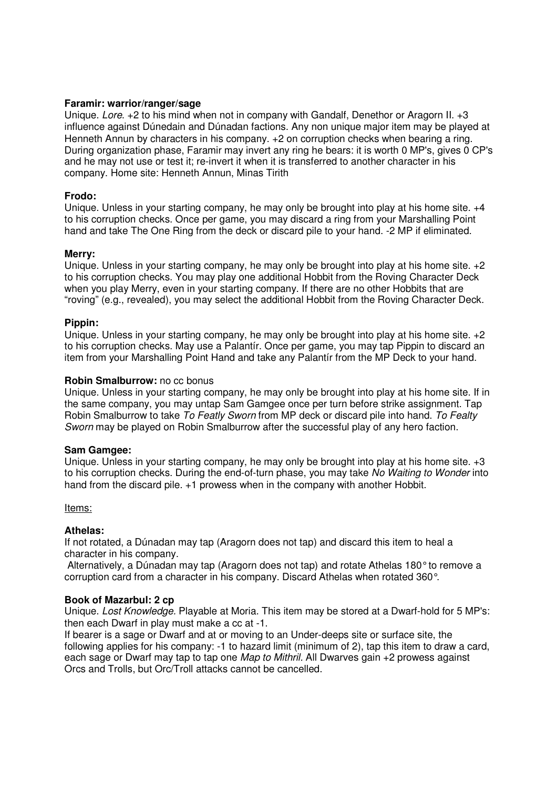#### **Faramir: warrior/ranger/sage**

Unique. Lore. +2 to his mind when not in company with Gandalf, Denethor or Aragorn II. +3 influence against Dúnedain and Dúnadan factions. Any non unique major item may be played at Henneth Annun by characters in his company. +2 on corruption checks when bearing a ring. During organization phase, Faramir may invert any ring he bears: it is worth 0 MP's, gives 0 CP's and he may not use or test it; re-invert it when it is transferred to another character in his company. Home site: Henneth Annun, Minas Tirith

#### **Frodo:**

Unique. Unless in your starting company, he may only be brought into play at his home site. +4 to his corruption checks. Once per game, you may discard a ring from your Marshalling Point hand and take The One Ring from the deck or discard pile to your hand. -2 MP if eliminated.

#### **Merry:**

Unique. Unless in your starting company, he may only be brought into play at his home site. +2 to his corruption checks. You may play one additional Hobbit from the Roving Character Deck when you play Merry, even in your starting company. If there are no other Hobbits that are "roving" (e.g., revealed), you may select the additional Hobbit from the Roving Character Deck.

#### **Pippin:**

Unique. Unless in your starting company, he may only be brought into play at his home site. +2 to his corruption checks. May use a Palantír. Once per game, you may tap Pippin to discard an item from your Marshalling Point Hand and take any Palantír from the MP Deck to your hand.

#### **Robin Smalburrow:** no cc bonus

Unique. Unless in your starting company, he may only be brought into play at his home site. If in the same company, you may untap Sam Gamgee once per turn before strike assignment. Tap Robin Smalburrow to take To Featly Sworn from MP deck or discard pile into hand. To Fealty Sworn may be played on Robin Smalburrow after the successful play of any hero faction.

#### **Sam Gamgee:**

Unique. Unless in your starting company, he may only be brought into play at his home site. +3 to his corruption checks. During the end-of-turn phase, you may take No Waiting to Wonder into hand from the discard pile. +1 prowess when in the company with another Hobbit.

#### Items:

#### **Athelas:**

If not rotated, a Dúnadan may tap (Aragorn does not tap) and discard this item to heal a character in his company.

 Alternatively, a Dúnadan may tap (Aragorn does not tap) and rotate Athelas 180° to remove a corruption card from a character in his company. Discard Athelas when rotated 360°.

#### **Book of Mazarbul: 2 cp**

Unique. Lost Knowledge. Playable at Moria. This item may be stored at a Dwarf-hold for 5 MP's: then each Dwarf in play must make a cc at -1.

If bearer is a sage or Dwarf and at or moving to an Under-deeps site or surface site, the following applies for his company: -1 to hazard limit (minimum of 2), tap this item to draw a card, each sage or Dwarf may tap to tap one *Map to Mithril.* All Dwarves gain +2 prowess against Orcs and Trolls, but Orc/Troll attacks cannot be cancelled.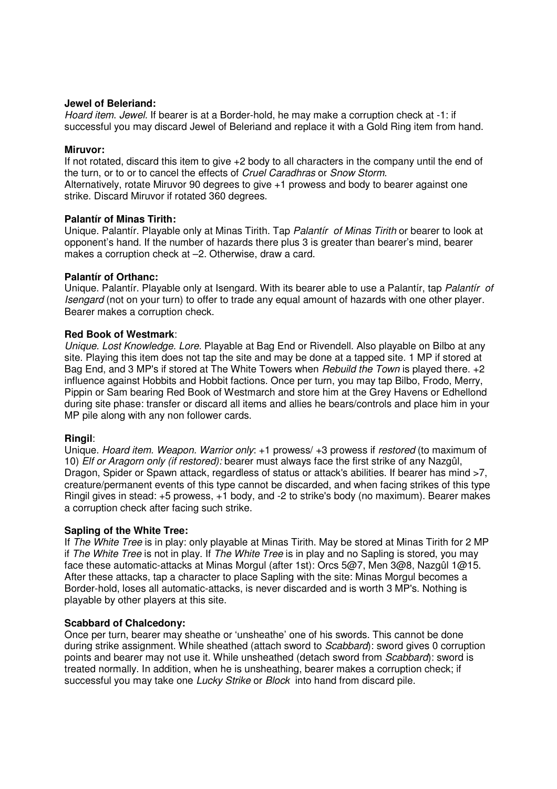#### **Jewel of Beleriand:**

Hoard item. Jewel. If bearer is at a Border-hold, he may make a corruption check at -1: if successful you may discard Jewel of Beleriand and replace it with a Gold Ring item from hand.

#### **Miruvor:**

If not rotated, discard this item to give +2 body to all characters in the company until the end of the turn, or to or to cancel the effects of Cruel Caradhras or Snow Storm. Alternatively, rotate Miruvor 90 degrees to give +1 prowess and body to bearer against one

strike. Discard Miruvor if rotated 360 degrees.

#### **Palantír of Minas Tirith:**

Unique. Palantír. Playable only at Minas Tirith. Tap Palantír of Minas Tirith or bearer to look at opponent's hand. If the number of hazards there plus 3 is greater than bearer's mind, bearer makes a corruption check at –2. Otherwise, draw a card.

#### **Palantír of Orthanc:**

Unique. Palantír. Playable only at Isengard. With its bearer able to use a Palantír, tap Palantír of Isengard (not on your turn) to offer to trade any equal amount of hazards with one other player. Bearer makes a corruption check.

#### **Red Book of Westmark**:

Unique. Lost Knowledge. Lore. Playable at Bag End or Rivendell. Also playable on Bilbo at any site. Playing this item does not tap the site and may be done at a tapped site. 1 MP if stored at Bag End, and 3 MP's if stored at The White Towers when *Rebuild the Town* is played there. +2 influence against Hobbits and Hobbit factions. Once per turn, you may tap Bilbo, Frodo, Merry, Pippin or Sam bearing Red Book of Westmarch and store him at the Grey Havens or Edhellond during site phase: transfer or discard all items and allies he bears/controls and place him in your MP pile along with any non follower cards.

#### **Ringil**:

Unique. Hoard item. Weapon. Warrior only: +1 prowess/ +3 prowess if restored (to maximum of 10) *Elf or Aragorn only (if restored):* bearer must always face the first strike of any Nazgûl, Dragon, Spider or Spawn attack, regardless of status or attack's abilities. If bearer has mind >7, creature/permanent events of this type cannot be discarded, and when facing strikes of this type Ringil gives in stead: +5 prowess, +1 body, and -2 to strike's body (no maximum). Bearer makes a corruption check after facing such strike.

#### **Sapling of the White Tree:**

If The White Tree is in play: only playable at Minas Tirith. May be stored at Minas Tirith for 2 MP if The White Tree is not in play. If The White Tree is in play and no Sapling is stored, you may face these automatic-attacks at Minas Morgul (after 1st): Orcs 5@7, Men 3@8, Nazgûl 1@15. After these attacks, tap a character to place Sapling with the site: Minas Morgul becomes a Border-hold, loses all automatic-attacks, is never discarded and is worth 3 MP's. Nothing is playable by other players at this site.

#### **Scabbard of Chalcedony:**

Once per turn, bearer may sheathe or 'unsheathe' one of his swords. This cannot be done during strike assignment. While sheathed (attach sword to Scabbard): sword gives 0 corruption points and bearer may not use it. While unsheathed (detach sword from *Scabbard*): sword is treated normally. In addition, when he is unsheathing, bearer makes a corruption check; if successful you may take one Lucky Strike or Block into hand from discard pile.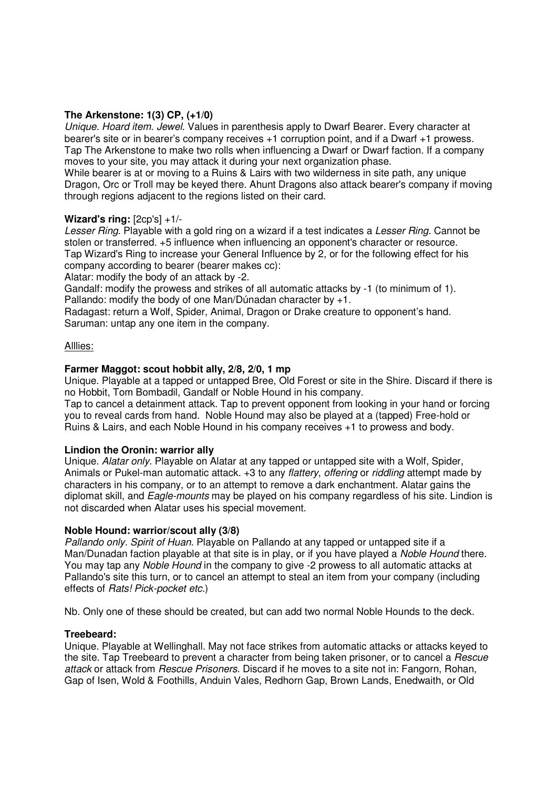### **The Arkenstone: 1(3) CP, (+1/0)**

Unique. Hoard item. Jewel. Values in parenthesis apply to Dwarf Bearer. Every character at bearer's site or in bearer's company receives +1 corruption point, and if a Dwarf +1 prowess. Tap The Arkenstone to make two rolls when influencing a Dwarf or Dwarf faction. If a company moves to your site, you may attack it during your next organization phase.

While bearer is at or moving to a Ruins & Lairs with two wilderness in site path, any unique Dragon, Orc or Troll may be keyed there. Ahunt Dragons also attack bearer's company if moving through regions adjacent to the regions listed on their card.

#### **Wizard's ring:** [2cp's] +1/-

Lesser Ring. Playable with a gold ring on a wizard if a test indicates a Lesser Ring. Cannot be stolen or transferred. +5 influence when influencing an opponent's character or resource. Tap Wizard's Ring to increase your General Influence by 2, or for the following effect for his company according to bearer (bearer makes cc):

Alatar: modify the body of an attack by -2.

Gandalf: modify the prowess and strikes of all automatic attacks by -1 (to minimum of 1). Pallando: modify the body of one Man/Dúnadan character by +1.

Radagast: return a Wolf, Spider, Animal, Dragon or Drake creature to opponent's hand. Saruman: untap any one item in the company.

#### Alllies:

### **Farmer Maggot: scout hobbit ally, 2/8, 2/0, 1 mp**

Unique. Playable at a tapped or untapped Bree, Old Forest or site in the Shire. Discard if there is no Hobbit, Tom Bombadil, Gandalf or Noble Hound in his company.

Tap to cancel a detainment attack. Tap to prevent opponent from looking in your hand or forcing you to reveal cards from hand. Noble Hound may also be played at a (tapped) Free-hold or Ruins & Lairs, and each Noble Hound in his company receives +1 to prowess and body.

#### **Lindion the Oronin: warrior ally**

Unique. Alatar only. Playable on Alatar at any tapped or untapped site with a Wolf, Spider, Animals or Pukel-man automatic attack. +3 to any flattery, offering or riddling attempt made by characters in his company, or to an attempt to remove a dark enchantment. Alatar gains the diplomat skill, and Eagle-mounts may be played on his company regardless of his site. Lindion is not discarded when Alatar uses his special movement.

#### **Noble Hound: warrior/scout ally (3/8)**

Pallando only. Spirit of Huan. Playable on Pallando at any tapped or untapped site if a Man/Dunadan faction playable at that site is in play, or if you have played a Noble Hound there. You may tap any Noble Hound in the company to give -2 prowess to all automatic attacks at Pallando's site this turn, or to cancel an attempt to steal an item from your company (including effects of Rats! Pick-pocket etc.)

Nb. Only one of these should be created, but can add two normal Noble Hounds to the deck.

#### **Treebeard:**

Unique. Playable at Wellinghall. May not face strikes from automatic attacks or attacks keyed to the site. Tap Treebeard to prevent a character from being taken prisoner, or to cancel a Rescue attack or attack from Rescue Prisoners. Discard if he moves to a site not in: Fangorn, Rohan, Gap of Isen, Wold & Foothills, Anduin Vales, Redhorn Gap, Brown Lands, Enedwaith, or Old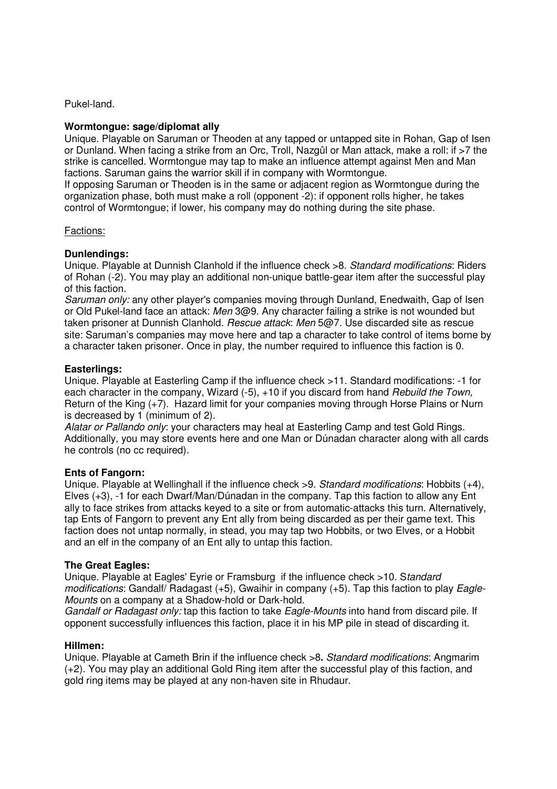Pukel-land.

#### **Wormtongue: sage/diplomat ally**

Unique. Playable on Saruman or Theoden at any tapped or untapped site in Rohan, Gap of Isen or Dunland. When facing a strike from an Orc, Troll, Nazgûl or Man attack, make a roll: if >7 the strike is cancelled. Wormtongue may tap to make an influence attempt against Men and Man factions. Saruman gains the warrior skill if in company with Wormtongue.

If opposing Saruman or Theoden is in the same or adjacent region as Wormtongue during the organization phase, both must make a roll (opponent -2): if opponent rolls higher, he takes control of Wormtongue; if lower, his company may do nothing during the site phase.

#### Factions:

#### **Dunlendings:**

Unique. Playable at Dunnish Clanhold if the influence check >8. Standard modifications: Riders of Rohan (-2). You may play an additional non-unique battle-gear item after the successful play of this faction.

Saruman only: any other player's companies moving through Dunland, Enedwaith, Gap of Isen or Old Pukel-land face an attack: Men 3@9. Any character failing a strike is not wounded but taken prisoner at Dunnish Clanhold. Rescue attack: Men 5@7. Use discarded site as rescue site: Saruman's companies may move here and tap a character to take control of items borne by a character taken prisoner. Once in play, the number required to influence this faction is 0.

#### **Easterlings:**

Unique. Playable at Easterling Camp if the influence check >11. Standard modifications: -1 for each character in the company, Wizard (-5), +10 if you discard from hand Rebuild the Town, Return of the King (+7). Hazard limit for your companies moving through Horse Plains or Nurn is decreased by 1 (minimum of 2).

Alatar or Pallando only: your characters may heal at Easterling Camp and test Gold Rings. Additionally, you may store events here and one Man or Dúnadan character along with all cards he controls (no cc required).

#### **Ents of Fangorn:**

Unique. Playable at Wellinghall if the influence check >9. Standard modifications: Hobbits (+4), Elves (+3), -1 for each Dwarf/Man/Dúnadan in the company. Tap this faction to allow any Ent ally to face strikes from attacks keyed to a site or from automatic-attacks this turn. Alternatively, tap Ents of Fangorn to prevent any Ent ally from being discarded as per their game text. This faction does not untap normally, in stead, you may tap two Hobbits, or two Elves, or a Hobbit and an elf in the company of an Ent ally to untap this faction.

#### **The Great Eagles:**

Unique. Playable at Eagles' Eyrie or Framsburg if the influence check >10. Standard modifications: Gandalf/ Radagast  $(+5)$ , Gwaihir in company  $(+5)$ . Tap this faction to play Eagle-Mounts on a company at a Shadow-hold or Dark-hold.

Gandalf or Radagast only: tap this faction to take Eagle-Mounts into hand from discard pile. If opponent successfully influences this faction, place it in his MP pile in stead of discarding it.

#### **Hillmen:**

Unique. Playable at Cameth Brin if the influence check >8**.** Standard modifications: Angmarim (+2). You may play an additional Gold Ring item after the successful play of this faction, and gold ring items may be played at any non-haven site in Rhudaur.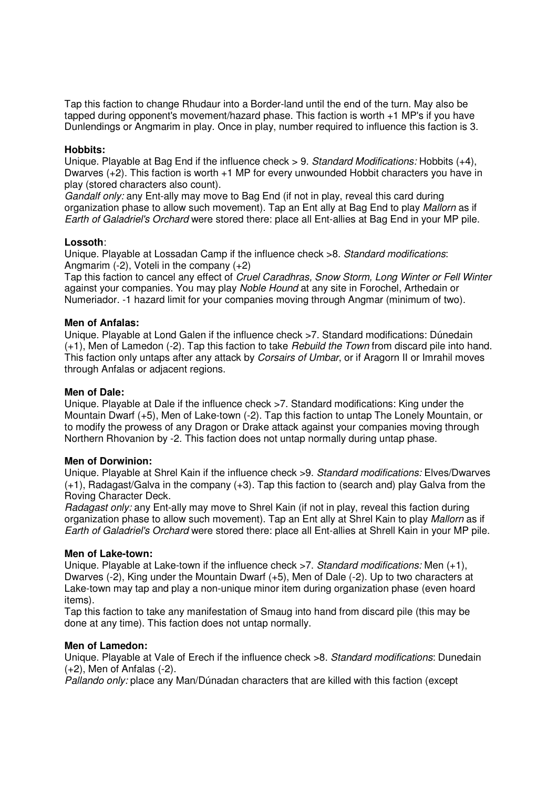Tap this faction to change Rhudaur into a Border-land until the end of the turn. May also be tapped during opponent's movement/hazard phase. This faction is worth +1 MP's if you have Dunlendings or Angmarim in play. Once in play, number required to influence this faction is 3.

#### **Hobbits:**

Unique. Playable at Bag End if the influence check  $> 9$ . Standard Modifications: Hobbits  $(+4)$ . Dwarves (+2). This faction is worth +1 MP for every unwounded Hobbit characters you have in play (stored characters also count).

Gandalf only: any Ent-ally may move to Bag End (if not in play, reveal this card during organization phase to allow such movement). Tap an Ent ally at Bag End to play Mallorn as if Earth of Galadriel's Orchard were stored there: place all Ent-allies at Bag End in your MP pile.

#### **Lossoth**:

Unique. Playable at Lossadan Camp if the influence check >8. Standard modifications: Angmarim  $(-2)$ . Voteli in the company  $(+2)$ 

Tap this faction to cancel any effect of Cruel Caradhras, Snow Storm, Long Winter or Fell Winter against your companies. You may play Noble Hound at any site in Forochel, Arthedain or Numeriador. -1 hazard limit for your companies moving through Angmar (minimum of two).

#### **Men of Anfalas:**

Unique. Playable at Lond Galen if the influence check >7. Standard modifications: Dúnedain  $(+1)$ , Men of Lamedon  $(-2)$ . Tap this faction to take *Rebuild the Town* from discard pile into hand. This faction only untaps after any attack by *Corsairs of Umbar*, or if Aragorn II or Imrahil moves through Anfalas or adjacent regions.

#### **Men of Dale:**

Unique. Playable at Dale if the influence check >7. Standard modifications: King under the Mountain Dwarf (+5), Men of Lake-town (-2). Tap this faction to untap The Lonely Mountain, or to modify the prowess of any Dragon or Drake attack against your companies moving through Northern Rhovanion by -2. This faction does not untap normally during untap phase.

#### **Men of Dorwinion:**

Unique. Playable at Shrel Kain if the influence check >9. Standard modifications: Elves/Dwarves (+1), Radagast/Galva in the company (+3). Tap this faction to (search and) play Galva from the Roving Character Deck.

Radagast only: any Ent-ally may move to Shrel Kain (if not in play, reveal this faction during organization phase to allow such movement). Tap an Ent ally at Shrel Kain to play Mallorn as if Earth of Galadriel's Orchard were stored there: place all Ent-allies at Shrell Kain in your MP pile.

#### **Men of Lake-town:**

Unique. Playable at Lake-town if the influence check >7. Standard modifications: Men (+1), Dwarves (-2), King under the Mountain Dwarf (+5), Men of Dale (-2). Up to two characters at Lake-town may tap and play a non-unique minor item during organization phase (even hoard items).

Tap this faction to take any manifestation of Smaug into hand from discard pile (this may be done at any time). This faction does not untap normally.

#### **Men of Lamedon:**

Unique. Playable at Vale of Erech if the influence check >8. Standard modifications: Dunedain (+2), Men of Anfalas (-2).

Pallando only: place any Man/Dúnadan characters that are killed with this faction (except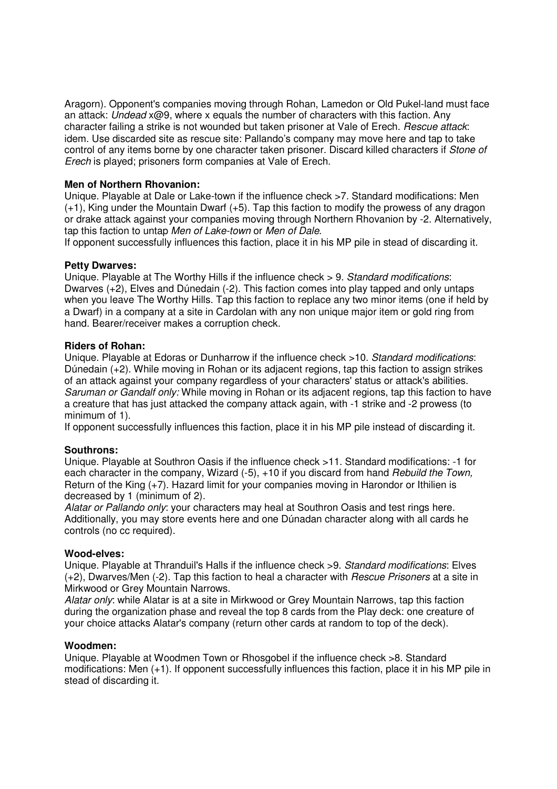Aragorn). Opponent's companies moving through Rohan, Lamedon or Old Pukel-land must face an attack: Undead  $x@9$ , where x equals the number of characters with this faction. Any character failing a strike is not wounded but taken prisoner at Vale of Erech. Rescue attack: idem. Use discarded site as rescue site: Pallando's company may move here and tap to take control of any items borne by one character taken prisoner. Discard killed characters if Stone of Erech is played; prisoners form companies at Vale of Erech.

#### **Men of Northern Rhovanion:**

Unique. Playable at Dale or Lake-town if the influence check >7. Standard modifications: Men (+1), King under the Mountain Dwarf (+5). Tap this faction to modify the prowess of any dragon or drake attack against your companies moving through Northern Rhovanion by -2. Alternatively, tap this faction to untap Men of Lake-town or Men of Dale.

If opponent successfully influences this faction, place it in his MP pile in stead of discarding it.

#### **Petty Dwarves:**

Unique. Playable at The Worthy Hills if the influence check > 9. Standard modifications: Dwarves (+2), Elves and Dúnedain (-2). This faction comes into play tapped and only untaps when you leave The Worthy Hills. Tap this faction to replace any two minor items (one if held by a Dwarf) in a company at a site in Cardolan with any non unique major item or gold ring from hand. Bearer/receiver makes a corruption check.

#### **Riders of Rohan:**

Unique. Playable at Edoras or Dunharrow if the influence check >10. Standard modifications: Dúnedain (+2). While moving in Rohan or its adjacent regions, tap this faction to assign strikes of an attack against your company regardless of your characters' status or attack's abilities. Saruman or Gandalf only: While moving in Rohan or its adjacent regions, tap this faction to have a creature that has just attacked the company attack again, with -1 strike and -2 prowess (to minimum of 1).

If opponent successfully influences this faction, place it in his MP pile instead of discarding it.

### **Southrons:**

Unique. Playable at Southron Oasis if the influence check >11. Standard modifications: -1 for each character in the company, Wizard (-5), +10 if you discard from hand Rebuild the Town, Return of the King (+7). Hazard limit for your companies moving in Harondor or Ithilien is decreased by 1 (minimum of 2).

Alatar or Pallando only: your characters may heal at Southron Oasis and test rings here. Additionally, you may store events here and one Dúnadan character along with all cards he controls (no cc required).

#### **Wood-elves:**

Unique. Playable at Thranduil's Halls if the influence check >9. Standard modifications: Elves (+2), Dwarves/Men (-2). Tap this faction to heal a character with Rescue Prisoners at a site in Mirkwood or Grey Mountain Narrows.

Alatar only: while Alatar is at a site in Mirkwood or Grey Mountain Narrows, tap this faction during the organization phase and reveal the top 8 cards from the Play deck: one creature of your choice attacks Alatar's company (return other cards at random to top of the deck).

#### **Woodmen:**

Unique. Playable at Woodmen Town or Rhosgobel if the influence check >8. Standard modifications: Men (+1). If opponent successfully influences this faction, place it in his MP pile in stead of discarding it.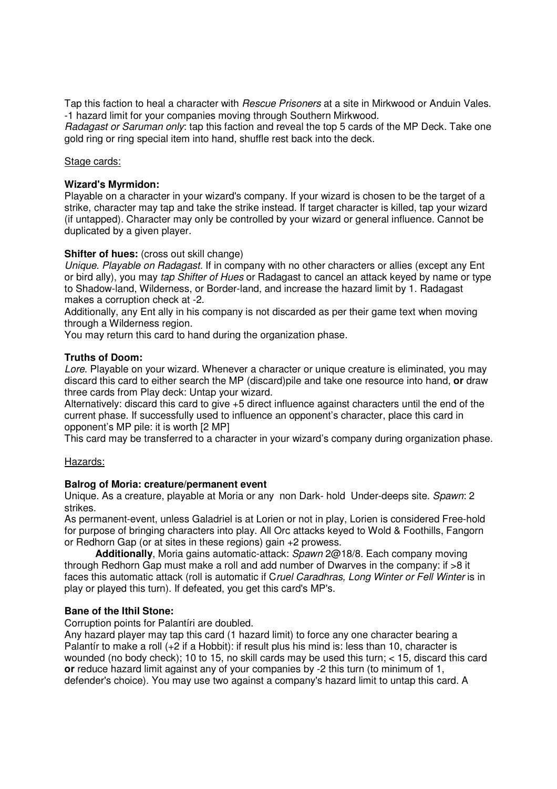Tap this faction to heal a character with *Rescue Prisoners* at a site in Mirkwood or Anduin Vales. -1 hazard limit for your companies moving through Southern Mirkwood.

Radagast or Saruman only: tap this faction and reveal the top 5 cards of the MP Deck. Take one gold ring or ring special item into hand, shuffle rest back into the deck.

#### Stage cards:

#### **Wizard's Myrmidon:**

Playable on a character in your wizard's company. If your wizard is chosen to be the target of a strike, character may tap and take the strike instead. If target character is killed, tap your wizard (if untapped). Character may only be controlled by your wizard or general influence. Cannot be duplicated by a given player.

#### **Shifter of hues:** (cross out skill change)

Unique. Playable on Radagast. If in company with no other characters or allies (except any Ent or bird ally), you may tap Shifter of Hues or Radagast to cancel an attack keyed by name or type to Shadow-land, Wilderness, or Border-land, and increase the hazard limit by 1. Radagast makes a corruption check at -2.

Additionally, any Ent ally in his company is not discarded as per their game text when moving through a Wilderness region.

You may return this card to hand during the organization phase.

#### **Truths of Doom:**

Lore. Playable on your wizard. Whenever a character or unique creature is eliminated, you may discard this card to either search the MP (discard)pile and take one resource into hand, **or** draw three cards from Play deck: Untap your wizard.

Alternatively: discard this card to give +5 direct influence against characters until the end of the current phase. If successfully used to influence an opponent's character, place this card in opponent's MP pile: it is worth [2 MP]

This card may be transferred to a character in your wizard's company during organization phase.

#### Hazards:

#### **Balrog of Moria: creature/permanent event**

Unique. As a creature, playable at Moria or any non Dark- hold Under-deeps site. Spawn: 2 strikes.

As permanent-event, unless Galadriel is at Lorien or not in play, Lorien is considered Free-hold for purpose of bringing characters into play. All Orc attacks keyed to Wold & Foothills, Fangorn or Redhorn Gap (or at sites in these regions) gain +2 prowess.

 **Additionally**, Moria gains automatic-attack: Spawn 2@18/8. Each company moving through Redhorn Gap must make a roll and add number of Dwarves in the company: if >8 it faces this automatic attack (roll is automatic if Cruel Caradhras, Long Winter or Fell Winter is in play or played this turn). If defeated, you get this card's MP's.

#### **Bane of the Ithil Stone:**

Corruption points for Palantíri are doubled.

Any hazard player may tap this card (1 hazard limit) to force any one character bearing a Palantír to make a roll (+2 if a Hobbit): if result plus his mind is: less than 10, character is wounded (no body check); 10 to 15, no skill cards may be used this turn; < 15, discard this card **or** reduce hazard limit against any of your companies by -2 this turn (to minimum of 1, defender's choice). You may use two against a company's hazard limit to untap this card. A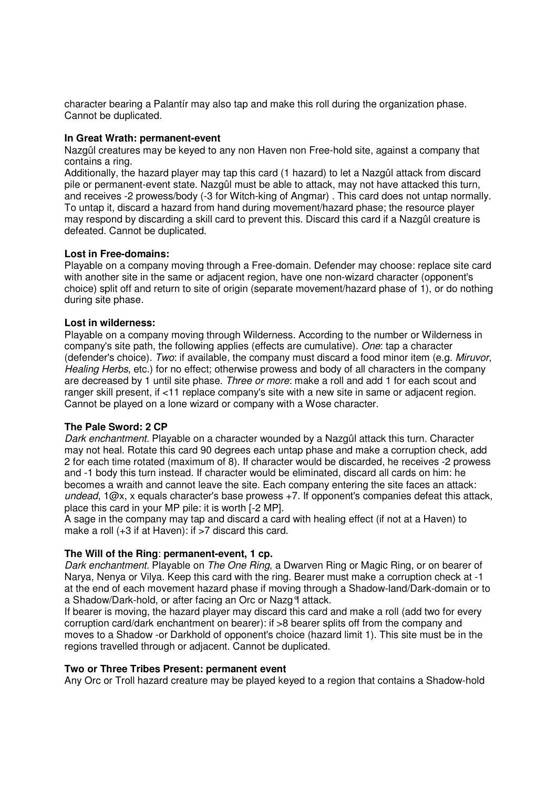character bearing a Palantír may also tap and make this roll during the organization phase. Cannot be duplicated.

#### **In Great Wrath: permanent-event**

Nazgûl creatures may be keyed to any non Haven non Free-hold site, against a company that contains a ring.

Additionally, the hazard player may tap this card (1 hazard) to let a Nazgûl attack from discard pile or permanent-event state. Nazgûl must be able to attack, may not have attacked this turn, and receives -2 prowess/body (-3 for Witch-king of Angmar) . This card does not untap normally. To untap it, discard a hazard from hand during movement/hazard phase; the resource player may respond by discarding a skill card to prevent this. Discard this card if a Nazgûl creature is defeated. Cannot be duplicated.

#### **Lost in Free-domains:**

Playable on a company moving through a Free-domain. Defender may choose: replace site card with another site in the same or adjacent region, have one non-wizard character (opponent's choice) split off and return to site of origin (separate movement/hazard phase of 1), or do nothing during site phase.

#### **Lost in wilderness:**

Playable on a company moving through Wilderness. According to the number or Wilderness in company's site path, the following applies (effects are cumulative). One: tap a character (defender's choice). Two: if available, the company must discard a food minor item (e.g. Miruvor, Healing Herbs, etc.) for no effect; otherwise prowess and body of all characters in the company are decreased by 1 until site phase. Three or more: make a roll and add 1 for each scout and ranger skill present, if <11 replace company's site with a new site in same or adjacent region. Cannot be played on a lone wizard or company with a Wose character.

#### **The Pale Sword: 2 CP**

Dark enchantment. Playable on a character wounded by a Nazgûl attack this turn. Character may not heal. Rotate this card 90 degrees each untap phase and make a corruption check, add 2 for each time rotated (maximum of 8). If character would be discarded, he receives -2 prowess and -1 body this turn instead. If character would be eliminated, discard all cards on him: he becomes a wraith and cannot leave the site. Each company entering the site faces an attack: undead, 1@x, x equals character's base prowess +7. If opponent's companies defeat this attack, place this card in your MP pile: it is worth [-2 MP].

A sage in the company may tap and discard a card with healing effect (if not at a Haven) to make a roll (+3 if at Haven): if >7 discard this card.

### **The Will of the Ring**: **permanent-event, 1 cp.**

Dark enchantment. Playable on The One Ring, a Dwarven Ring or Magic Ring, or on bearer of Narya, Nenya or Vilya. Keep this card with the ring. Bearer must make a corruption check at -1 at the end of each movement hazard phase if moving through a Shadow-land/Dark-domain or to a Shadow/Dark-hold, or after facing an Orc or Nazg°l attack.

If bearer is moving, the hazard player may discard this card and make a roll (add two for every corruption card/dark enchantment on bearer): if >8 bearer splits off from the company and moves to a Shadow -or Darkhold of opponent's choice (hazard limit 1). This site must be in the regions travelled through or adjacent. Cannot be duplicated.

#### **Two or Three Tribes Present: permanent event**

Any Orc or Troll hazard creature may be played keyed to a region that contains a Shadow-hold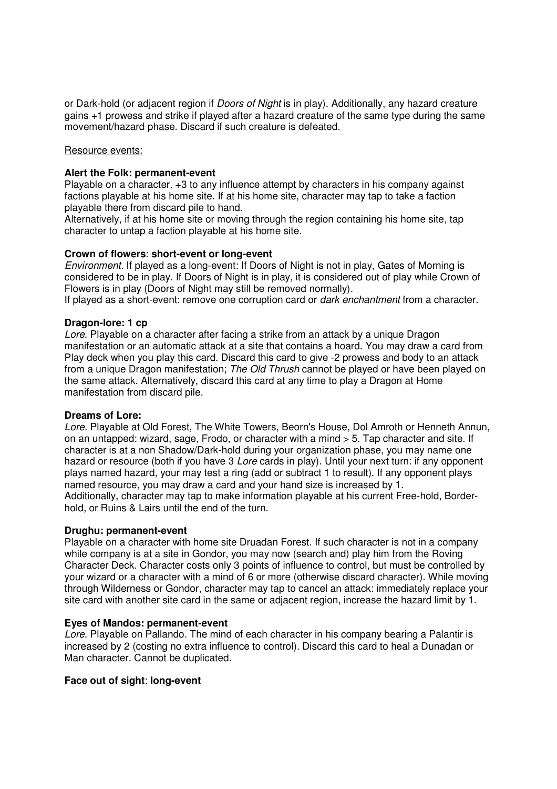or Dark-hold (or adjacent region if *Doors of Night* is in play). Additionally, any hazard creature gains +1 prowess and strike if played after a hazard creature of the same type during the same movement/hazard phase. Discard if such creature is defeated.

#### Resource events:

#### **Alert the Folk: permanent-event**

Playable on a character. +3 to any influence attempt by characters in his company against factions playable at his home site. If at his home site, character may tap to take a faction playable there from discard pile to hand.

Alternatively, if at his home site or moving through the region containing his home site, tap character to untap a faction playable at his home site.

#### **Crown of flowers**: **short-event or long-event**

Environment. If played as a long-event: If Doors of Night is not in play, Gates of Morning is considered to be in play. If Doors of Night is in play, it is considered out of play while Crown of Flowers is in play (Doors of Night may still be removed normally).

If played as a short-event: remove one corruption card or *dark enchantment* from a character.

#### **Dragon-lore: 1 cp**

Lore. Playable on a character after facing a strike from an attack by a unique Dragon manifestation or an automatic attack at a site that contains a hoard. You may draw a card from Play deck when you play this card. Discard this card to give -2 prowess and body to an attack from a unique Dragon manifestation; The Old Thrush cannot be played or have been played on the same attack. Alternatively, discard this card at any time to play a Dragon at Home manifestation from discard pile.

#### **Dreams of Lore:**

Lore. Playable at Old Forest, The White Towers, Beorn's House, Dol Amroth or Henneth Annun, on an untapped: wizard, sage, Frodo, or character with a mind > 5. Tap character and site. If character is at a non Shadow/Dark-hold during your organization phase, you may name one hazard or resource (both if you have 3 Lore cards in play). Until your next turn: if any opponent plays named hazard, your may test a ring (add or subtract 1 to result). If any opponent plays named resource, you may draw a card and your hand size is increased by 1. Additionally, character may tap to make information playable at his current Free-hold, Borderhold, or Ruins & Lairs until the end of the turn.

#### **Drughu: permanent-event**

Playable on a character with home site Druadan Forest. If such character is not in a company while company is at a site in Gondor, you may now (search and) play him from the Roving Character Deck. Character costs only 3 points of influence to control, but must be controlled by your wizard or a character with a mind of 6 or more (otherwise discard character). While moving through Wilderness or Gondor, character may tap to cancel an attack: immediately replace your site card with another site card in the same or adjacent region, increase the hazard limit by 1.

#### **Eyes of Mandos: permanent-event**

Lore. Playable on Pallando. The mind of each character in his company bearing a Palantir is increased by 2 (costing no extra influence to control). Discard this card to heal a Dunadan or Man character. Cannot be duplicated.

#### **Face out of sight**: **long-event**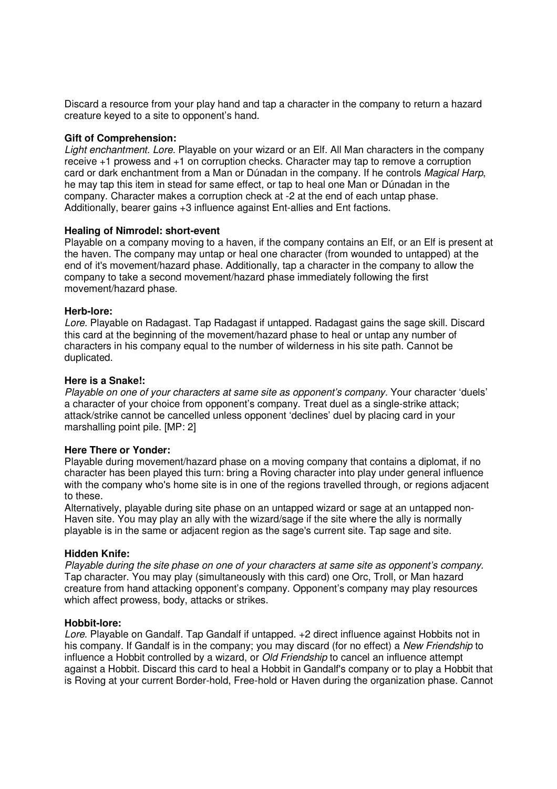Discard a resource from your play hand and tap a character in the company to return a hazard creature keyed to a site to opponent's hand.

#### **Gift of Comprehension:**

Light enchantment. Lore. Playable on your wizard or an Elf. All Man characters in the company receive +1 prowess and +1 on corruption checks. Character may tap to remove a corruption card or dark enchantment from a Man or Dúnadan in the company. If he controls Magical Harp, he may tap this item in stead for same effect, or tap to heal one Man or Dúnadan in the company. Character makes a corruption check at -2 at the end of each untap phase. Additionally, bearer gains +3 influence against Ent-allies and Ent factions.

#### **Healing of Nimrodel: short-event**

Playable on a company moving to a haven, if the company contains an Elf, or an Elf is present at the haven. The company may untap or heal one character (from wounded to untapped) at the end of it's movement/hazard phase. Additionally, tap a character in the company to allow the company to take a second movement/hazard phase immediately following the first movement/hazard phase.

#### **Herb-lore:**

Lore. Playable on Radagast. Tap Radagast if untapped. Radagast gains the sage skill. Discard this card at the beginning of the movement/hazard phase to heal or untap any number of characters in his company equal to the number of wilderness in his site path. Cannot be duplicated.

#### **Here is a Snake!:**

Playable on one of your characters at same site as opponent's company. Your character 'duels' a character of your choice from opponent's company. Treat duel as a single-strike attack; attack/strike cannot be cancelled unless opponent 'declines' duel by placing card in your marshalling point pile. [MP: 2]

#### **Here There or Yonder:**

Playable during movement/hazard phase on a moving company that contains a diplomat, if no character has been played this turn: bring a Roving character into play under general influence with the company who's home site is in one of the regions travelled through, or regions adjacent to these.

Alternatively, playable during site phase on an untapped wizard or sage at an untapped non-Haven site. You may play an ally with the wizard/sage if the site where the ally is normally playable is in the same or adjacent region as the sage's current site. Tap sage and site.

#### **Hidden Knife:**

Playable during the site phase on one of your characters at same site as opponent's company. Tap character. You may play (simultaneously with this card) one Orc, Troll, or Man hazard creature from hand attacking opponent's company. Opponent's company may play resources which affect prowess, body, attacks or strikes.

#### **Hobbit-lore:**

Lore. Playable on Gandalf. Tap Gandalf if untapped. +2 direct influence against Hobbits not in his company. If Gandalf is in the company; you may discard (for no effect) a New Friendship to influence a Hobbit controlled by a wizard, or Old Friendship to cancel an influence attempt against a Hobbit. Discard this card to heal a Hobbit in Gandalf's company or to play a Hobbit that is Roving at your current Border-hold, Free-hold or Haven during the organization phase. Cannot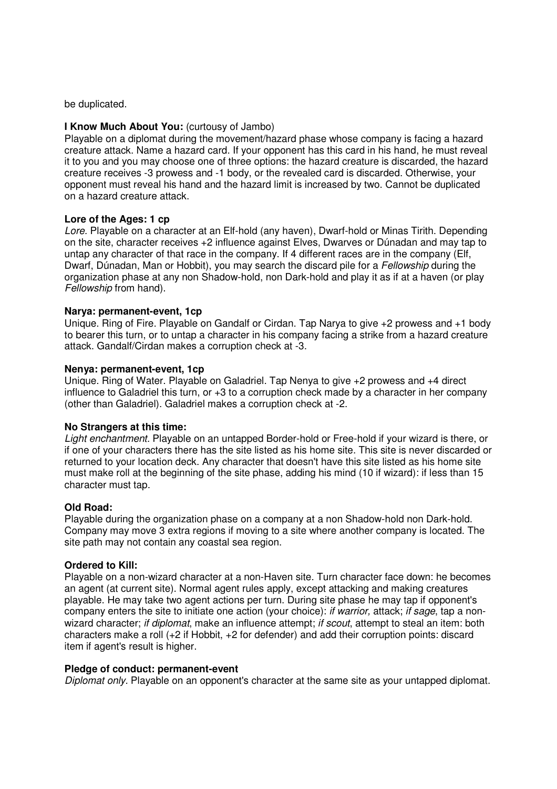be duplicated.

#### **I Know Much About You:** (curtousy of Jambo)

Playable on a diplomat during the movement/hazard phase whose company is facing a hazard creature attack. Name a hazard card. If your opponent has this card in his hand, he must reveal it to you and you may choose one of three options: the hazard creature is discarded, the hazard creature receives -3 prowess and -1 body, or the revealed card is discarded. Otherwise, your opponent must reveal his hand and the hazard limit is increased by two. Cannot be duplicated on a hazard creature attack.

#### **Lore of the Ages: 1 cp**

Lore. Playable on a character at an Elf-hold (any haven), Dwarf-hold or Minas Tirith. Depending on the site, character receives +2 influence against Elves, Dwarves or Dúnadan and may tap to untap any character of that race in the company. If 4 different races are in the company (Elf, Dwarf, Dúnadan, Man or Hobbit), you may search the discard pile for a Fellowship during the organization phase at any non Shadow-hold, non Dark-hold and play it as if at a haven (or play Fellowship from hand).

#### **Narya: permanent-event, 1cp**

Unique. Ring of Fire. Playable on Gandalf or Cirdan. Tap Narya to give +2 prowess and +1 body to bearer this turn, or to untap a character in his company facing a strike from a hazard creature attack. Gandalf/Cirdan makes a corruption check at -3.

#### **Nenya: permanent-event, 1cp**

Unique. Ring of Water. Playable on Galadriel. Tap Nenya to give +2 prowess and +4 direct influence to Galadriel this turn, or +3 to a corruption check made by a character in her company (other than Galadriel). Galadriel makes a corruption check at -2.

#### **No Strangers at this time:**

Light enchantment. Playable on an untapped Border-hold or Free-hold if your wizard is there, or if one of your characters there has the site listed as his home site. This site is never discarded or returned to your location deck. Any character that doesn't have this site listed as his home site must make roll at the beginning of the site phase, adding his mind (10 if wizard): if less than 15 character must tap.

#### **Old Road:**

Playable during the organization phase on a company at a non Shadow-hold non Dark-hold. Company may move 3 extra regions if moving to a site where another company is located. The site path may not contain any coastal sea region.

#### **Ordered to Kill:**

Playable on a non-wizard character at a non-Haven site. Turn character face down: he becomes an agent (at current site). Normal agent rules apply, except attacking and making creatures playable. He may take two agent actions per turn. During site phase he may tap if opponent's company enters the site to initiate one action (your choice): if warrior, attack; if sage, tap a nonwizard character; *if diplomat*, make an influence attempt; *if scout*, attempt to steal an item; both characters make a roll (+2 if Hobbit, +2 for defender) and add their corruption points: discard item if agent's result is higher.

#### **Pledge of conduct: permanent-event**

Diplomat only. Playable on an opponent's character at the same site as your untapped diplomat.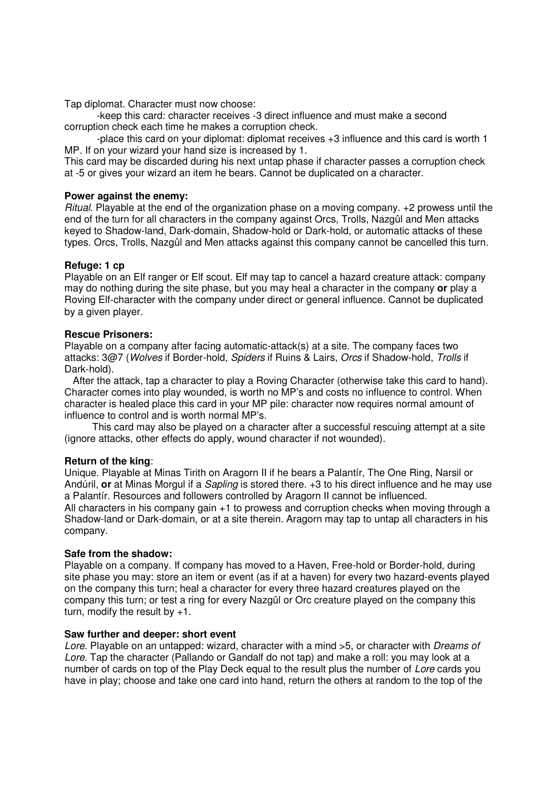Tap diplomat. Character must now choose:

-keep this card: character receives -3 direct influence and must make a second corruption check each time he makes a corruption check.

-place this card on your diplomat: diplomat receives +3 influence and this card is worth 1 MP. If on your wizard your hand size is increased by 1.

This card may be discarded during his next untap phase if character passes a corruption check at -5 or gives your wizard an item he bears. Cannot be duplicated on a character.

#### **Power against the enemy:**

Ritual. Playable at the end of the organization phase on a moving company. +2 prowess until the end of the turn for all characters in the company against Orcs, Trolls, Nazgûl and Men attacks keyed to Shadow-land, Dark-domain, Shadow-hold or Dark-hold, or automatic attacks of these types. Orcs, Trolls, Nazgûl and Men attacks against this company cannot be cancelled this turn.

#### **Refuge: 1 cp**

Playable on an Elf ranger or Elf scout. Elf may tap to cancel a hazard creature attack: company may do nothing during the site phase, but you may heal a character in the company **or** play a Roving Elf-character with the company under direct or general influence. Cannot be duplicated by a given player.

#### **Rescue Prisoners:**

Playable on a company after facing automatic-attack(s) at a site. The company faces two attacks: 3@7 (Wolves if Border-hold, Spiders if Ruins & Lairs, Orcs if Shadow-hold, Trolls if Dark-hold).

 After the attack, tap a character to play a Roving Character (otherwise take this card to hand). Character comes into play wounded, is worth no MP's and costs no influence to control. When character is healed place this card in your MP pile: character now requires normal amount of influence to control and is worth normal MP's.

 This card may also be played on a character after a successful rescuing attempt at a site (ignore attacks, other effects do apply, wound character if not wounded).

#### **Return of the king**:

Unique. Playable at Minas Tirith on Aragorn II if he bears a Palantír, The One Ring, Narsil or Andúril, **or** at Minas Morgul if a Sapling is stored there. +3 to his direct influence and he may use a Palantír. Resources and followers controlled by Aragorn II cannot be influenced. All characters in his company gain +1 to prowess and corruption checks when moving through a Shadow-land or Dark-domain, or at a site therein. Aragorn may tap to untap all characters in his company.

#### **Safe from the shadow:**

Playable on a company. If company has moved to a Haven, Free-hold or Border-hold, during site phase you may: store an item or event (as if at a haven) for every two hazard-events played on the company this turn; heal a character for every three hazard creatures played on the company this turn; or test a ring for every Nazgûl or Orc creature played on the company this turn, modify the result by +1.

#### **Saw further and deeper: short event**

Lore. Playable on an untapped: wizard, character with a mind >5, or character with Dreams of Lore. Tap the character (Pallando or Gandalf do not tap) and make a roll: you may look at a number of cards on top of the Play Deck equal to the result plus the number of Lore cards you have in play; choose and take one card into hand, return the others at random to the top of the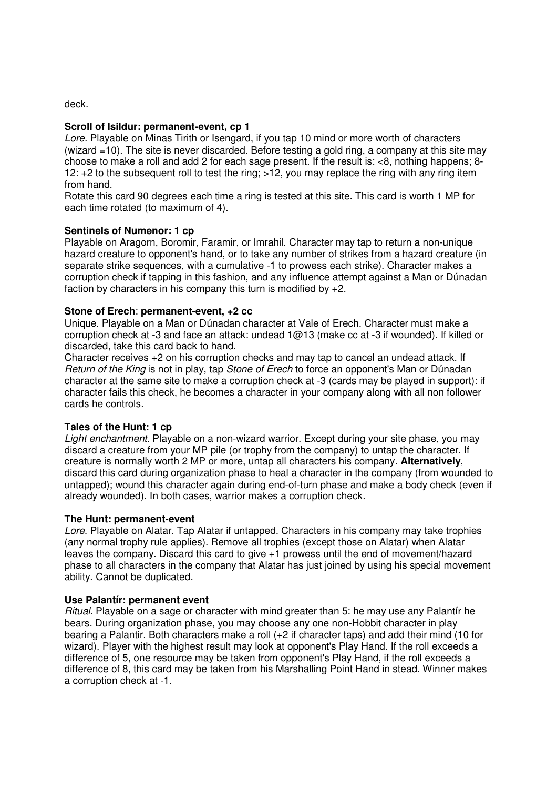deck.

#### **Scroll of Isildur: permanent-event, cp 1**

Lore. Playable on Minas Tirith or Isengard, if you tap 10 mind or more worth of characters (wizard =10). The site is never discarded. Before testing a gold ring, a company at this site may choose to make a roll and add 2 for each sage present. If the result is: <8, nothing happens; 8- 12:  $+2$  to the subsequent roll to test the ring;  $>12$ , you may replace the ring with any ring item from hand.

Rotate this card 90 degrees each time a ring is tested at this site. This card is worth 1 MP for each time rotated (to maximum of 4).

#### **Sentinels of Numenor: 1 cp**

Playable on Aragorn, Boromir, Faramir, or Imrahil. Character may tap to return a non-unique hazard creature to opponent's hand, or to take any number of strikes from a hazard creature (in separate strike sequences, with a cumulative -1 to prowess each strike). Character makes a corruption check if tapping in this fashion, and any influence attempt against a Man or Dúnadan faction by characters in his company this turn is modified by +2.

#### **Stone of Erech**: **permanent-event, +2 cc**

Unique. Playable on a Man or Dúnadan character at Vale of Erech. Character must make a corruption check at -3 and face an attack: undead 1@13 (make cc at -3 if wounded). If killed or discarded, take this card back to hand.

Character receives +2 on his corruption checks and may tap to cancel an undead attack. If Return of the King is not in play, tap Stone of Erech to force an opponent's Man or Dúnadan character at the same site to make a corruption check at -3 (cards may be played in support): if character fails this check, he becomes a character in your company along with all non follower cards he controls.

#### **Tales of the Hunt: 1 cp**

Light enchantment. Playable on a non-wizard warrior. Except during your site phase, you may discard a creature from your MP pile (or trophy from the company) to untap the character. If creature is normally worth 2 MP or more, untap all characters his company. **Alternatively**, discard this card during organization phase to heal a character in the company (from wounded to untapped); wound this character again during end-of-turn phase and make a body check (even if already wounded). In both cases, warrior makes a corruption check.

#### **The Hunt: permanent-event**

Lore. Playable on Alatar. Tap Alatar if untapped. Characters in his company may take trophies (any normal trophy rule applies). Remove all trophies (except those on Alatar) when Alatar leaves the company. Discard this card to give +1 prowess until the end of movement/hazard phase to all characters in the company that Alatar has just joined by using his special movement ability. Cannot be duplicated.

#### **Use Palantír: permanent event**

Ritual. Playable on a sage or character with mind greater than 5: he may use any Palantír he bears. During organization phase, you may choose any one non-Hobbit character in play bearing a Palantir. Both characters make a roll (+2 if character taps) and add their mind (10 for wizard). Player with the highest result may look at opponent's Play Hand. If the roll exceeds a difference of 5, one resource may be taken from opponent's Play Hand, if the roll exceeds a difference of 8, this card may be taken from his Marshalling Point Hand in stead. Winner makes a corruption check at -1.